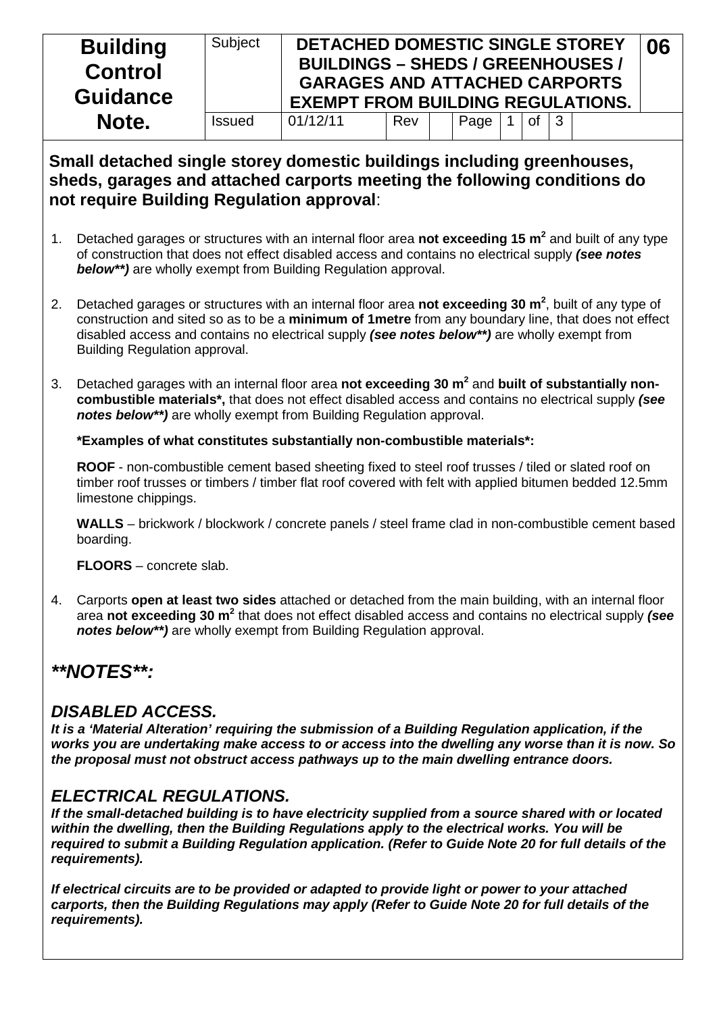| <b>Building</b><br><b>Control</b><br><b>Guidance</b> | Subject       | DETACHED DOMESTIC SINGLE STOREY<br><b>BUILDINGS - SHEDS / GREENHOUSES /</b><br><b>GARAGES AND ATTACHED CARPORTS</b><br><b>EXEMPT FROM BUILDING REGULATIONS.</b> |     |      |    |           | 06 |
|------------------------------------------------------|---------------|-----------------------------------------------------------------------------------------------------------------------------------------------------------------|-----|------|----|-----------|----|
| Note.                                                | <b>Issued</b> | 01/12/11                                                                                                                                                        | Rev | Page | 0f | $\vert$ 3 |    |

#### **Small detached single storey domestic buildings including greenhouses, sheds, garages and attached carports meeting the following conditions do not require Building Regulation approval**:

- 1. Detached garages or structures with an internal floor area **not exceeding 15 m2** and built of any type of construction that does not effect disabled access and contains no electrical supply *(see notes below\*\*)* are wholly exempt from Building Regulation approval.
- 2. Detached garages or structures with an internal floor area not exceeding 30 m<sup>2</sup>, built of any type of construction and sited so as to be a **minimum of 1metre** from any boundary line, that does not effect disabled access and contains no electrical supply *(see notes below\*\*)* are wholly exempt from Building Regulation approval.
- 3. Detached garages with an internal floor area **not exceeding 30 m2** and **built of substantially noncombustible materials\*,** that does not effect disabled access and contains no electrical supply *(see notes below\*\*)* are wholly exempt from Building Regulation approval.

**\*Examples of what constitutes substantially non-combustible materials\*:**

**ROOF** - non-combustible cement based sheeting fixed to steel roof trusses / tiled or slated roof on timber roof trusses or timbers / timber flat roof covered with felt with applied bitumen bedded 12.5mm limestone chippings.

**WALLS** – brickwork / blockwork / concrete panels / steel frame clad in non-combustible cement based boarding.

**FLOORS** – concrete slab.

4. Carports **open at least two sides** attached or detached from the main building, with an internal floor area **not exceeding 30 m<sup>2</sup>** that does not effect disabled access and contains no electrical supply *(see notes below\*\*)* are wholly exempt from Building Regulation approval.

# *\*\*NOTES\*\*:*

### *DISABLED ACCESS.*

*It is a 'Material Alteration' requiring the submission of a Building Regulation application, if the works you are undertaking make access to or access into the dwelling any worse than it is now. So the proposal must not obstruct access pathways up to the main dwelling entrance doors.*

## *ELECTRICAL REGULATIONS.*

*If the small-detached building is to have electricity supplied from a source shared with or located within the dwelling, then the Building Regulations apply to the electrical works. You will be required to submit a Building Regulation application. (Refer to Guide Note 20 for full details of the requirements).*

*If electrical circuits are to be provided or adapted to provide light or power to your attached carports, then the Building Regulations may apply (Refer to Guide Note 20 for full details of the requirements).*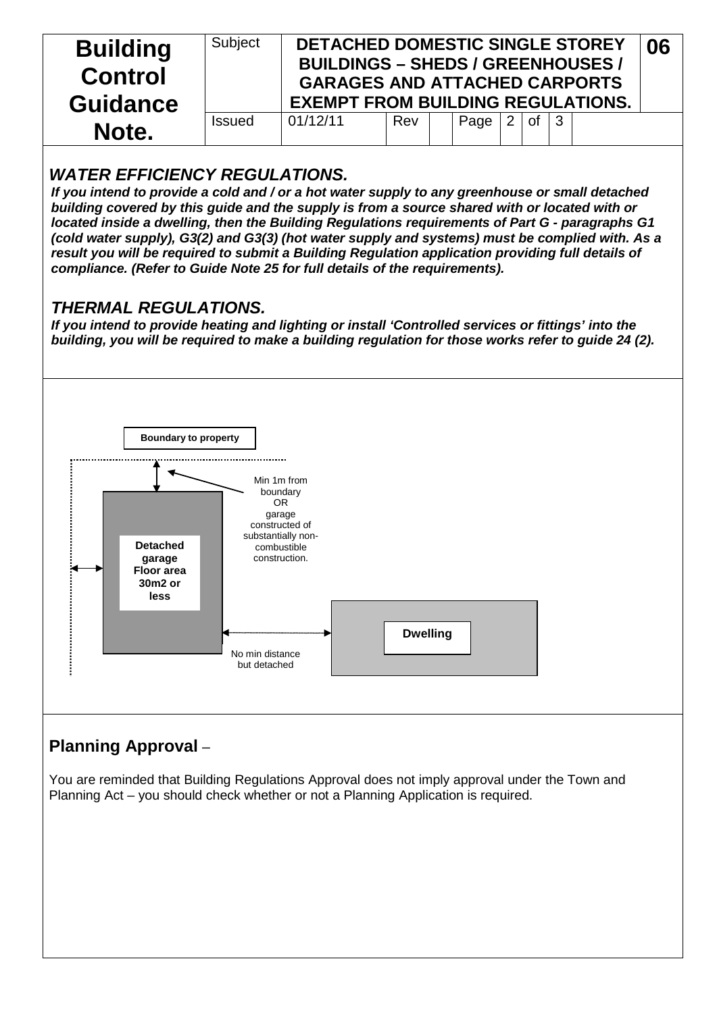| <b>Building</b><br><b>Control</b><br><b>Guidance</b> | Subject       | DETACHED DOMESTIC SINGLE STOREY<br><b>BUILDINGS - SHEDS / GREENHOUSES /</b><br><b>GARAGES AND ATTACHED CARPORTS</b><br><b>EXEMPT FROM BUILDING REGULATIONS.</b> |     |      |    |              | 06 |
|------------------------------------------------------|---------------|-----------------------------------------------------------------------------------------------------------------------------------------------------------------|-----|------|----|--------------|----|
| Note.                                                | <b>Issued</b> | 01/12/11                                                                                                                                                        | Rev | Page | Ωf | $\mathbf{3}$ |    |

### *WATER EFFICIENCY REGULATIONS.*

*If you intend to provide a cold and / or a hot water supply to any greenhouse or small detached building covered by this guide and the supply is from a source shared with or located with or located inside a dwelling, then the Building Regulations requirements of Part G - paragraphs G1 (cold water supply), G3(2) and G3(3) (hot water supply and systems) must be complied with. As a result you will be required to submit a Building Regulation application providing full details of compliance. (Refer to Guide Note 25 for full details of the requirements).*

### *THERMAL REGULATIONS.*

*If you intend to provide heating and lighting or install 'Controlled services or fittings' into the building, you will be required to make a building regulation for those works refer to guide 24 (2).*



# **Planning Approval** –

You are reminded that Building Regulations Approval does not imply approval under the Town and Planning Act – you should check whether or not a Planning Application is required.